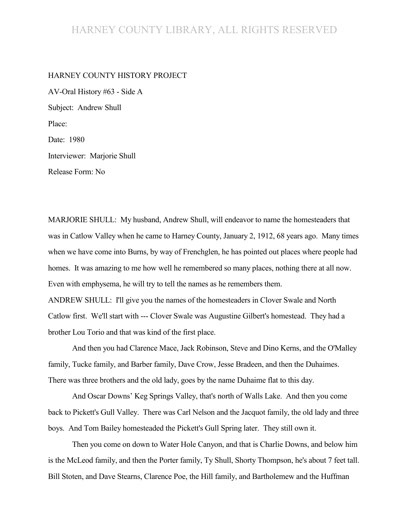## HARNEY COUNTY LIBRARY, ALL RIGHTS RESERVED

## HARNEY COUNTY HISTORY PROJECT

AV-Oral History #63 - Side A Subject: Andrew Shull Place: Date: 1980 Interviewer: Marjorie Shull

Release Form: No

MARJORIE SHULL: My husband, Andrew Shull, will endeavor to name the homesteaders that was in Catlow Valley when he came to Harney County, January 2, 1912, 68 years ago. Many times when we have come into Burns, by way of Frenchglen, he has pointed out places where people had homes. It was amazing to me how well he remembered so many places, nothing there at all now. Even with emphysema, he will try to tell the names as he remembers them.

ANDREW SHULL: I'll give you the names of the homesteaders in Clover Swale and North Catlow first. We'll start with --- Clover Swale was Augustine Gilbert's homestead. They had a brother Lou Torio and that was kind of the first place.

And then you had Clarence Mace, Jack Robinson, Steve and Dino Kerns, and the O'Malley family, Tucke family, and Barber family, Dave Crow, Jesse Bradeen, and then the Duhaimes. There was three brothers and the old lady, goes by the name Duhaime flat to this day.

And Oscar Downs' Keg Springs Valley, that's north of Walls Lake. And then you come back to Pickett's Gull Valley. There was Carl Nelson and the Jacquot family, the old lady and three boys. And Tom Bailey homesteaded the Pickett's Gull Spring later. They still own it.

Then you come on down to Water Hole Canyon, and that is Charlie Downs, and below him is the McLeod family, and then the Porter family, Ty Shull, Shorty Thompson, he's about 7 feet tall. Bill Stoten, and Dave Stearns, Clarence Poe, the Hill family, and Bartholemew and the Huffman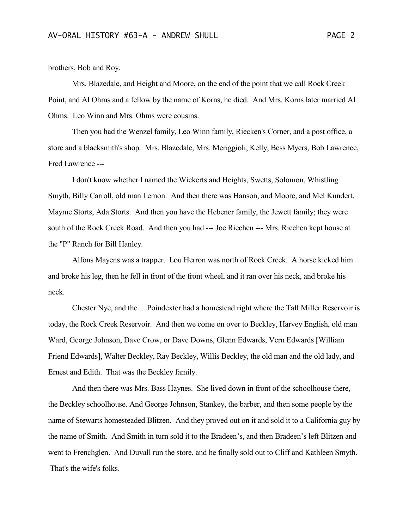brothers, Bob and Roy.

Mrs. Blazedale, and Height and Moore, on the end of the point that we call Rock Creek Point, and Al Ohms and a fellow by the name of Korns, he died. And Mrs. Korns later married Al Ohms. Leo Winn and Mrs. Ohms were cousins.

Then you had the Wenzel family, Leo Winn family, Riecken's Corner, and a post office, a store and a blacksmith's shop. Mrs. Blazedale, Mrs. Meriggioli, Kelly, Bess Myers, Bob Lawrence, Fred Lawrence ---

I don't know whether I named the Wickerts and Heights, Swetts, Solomon, Whistling Smyth, Billy Carroll, old man Lemon. And then there was Hanson, and Moore, and Mel Kundert, Mayme Storts, Ada Storts. And then you have the Hebener family, the Jewett family; they were south of the Rock Creek Road. And then you had --- Joe Riechen --- Mrs. Riechen kept house at the "P" Ranch for Bill Hanley.

Alfons Mayens was a trapper. Lou Herron was north of Rock Creek. A horse kicked him and broke his leg, then he fell in front of the front wheel, and it ran over his neck, and broke his neck.

Chester Nye, and the ... Poindexter had a homestead right where the Taft Miller Reservoir is today, the Rock Creek Reservoir. And then we come on over to Beckley, Harvey English, old man Ward, George Johnson, Dave Crow, or Dave Downs, Glenn Edwards, Vern Edwards [William Friend Edwards], Walter Beckley, Ray Beckley, Willis Beckley, the old man and the old lady, and Ernest and Edith. That was the Beckley family.

And then there was Mrs. Bass Haynes. She lived down in front of the schoolhouse there, the Beckley schoolhouse. And George Johnson, Stankey, the barber, and then some people by the name of Stewarts homesteaded Blitzen. And they proved out on it and sold it to a California guy by the name of Smith. And Smith in turn sold it to the Bradeen's, and then Bradeen's left Blitzen and went to Frenchglen. And Duvall run the store, and he finally sold out to Cliff and Kathleen Smyth. That's the wife's folks.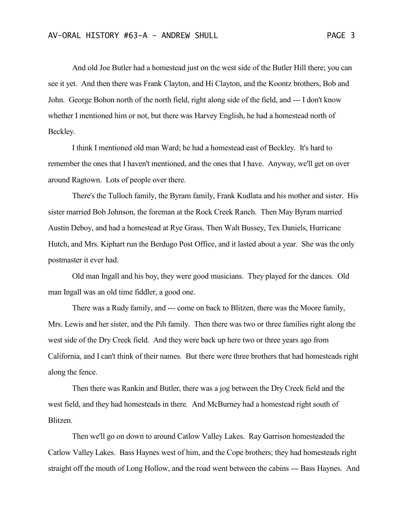And old Joe Butler had a homestead just on the west side of the Butler Hill there; you can see it yet. And then there was Frank Clayton, and Hi Clayton, and the Koontz brothers, Bob and John. George Bohon north of the north field, right along side of the field, and --- I don't know whether I mentioned him or not, but there was Harvey English, he had a homestead north of Beckley.

I think I mentioned old man Ward; he had a homestead east of Beckley. It's hard to remember the ones that I haven't mentioned, and the ones that I have. Anyway, we'll get on over around Ragtown. Lots of people over there.

There's the Tulloch family, the Byram family, Frank Kudlata and his mother and sister. His sister married Bob Johnson, the foreman at the Rock Creek Ranch. Then May Byram married Austin Deboy, and had a homestead at Rye Grass. Then Walt Bussey, Tex Daniels, Hurricane Hutch, and Mrs. Kiphart run the Berdugo Post Office, and it lasted about a year. She was the only postmaster it ever had.

Old man Ingall and his boy, they were good musicians. They played for the dances. Old man Ingall was an old time fiddler, a good one.

There was a Rudy family, and --- come on back to Blitzen, there was the Moore family, Mrs. Lewis and her sister, and the Pih family. Then there was two or three families right along the west side of the Dry Creek field. And they were back up here two or three years ago from California, and I can't think of their names. But there were three brothers that had homesteads right along the fence.

Then there was Rankin and Butler, there was a jog between the Dry Creek field and the west field, and they had homesteads in there. And McBurney had a homestead right south of Blitzen.

Then we'll go on down to around Catlow Valley Lakes. Ray Garrison homesteaded the Catlow Valley Lakes. Bass Haynes west of him, and the Cope brothers; they had homesteads right straight off the mouth of Long Hollow, and the road went between the cabins --- Bass Haynes. And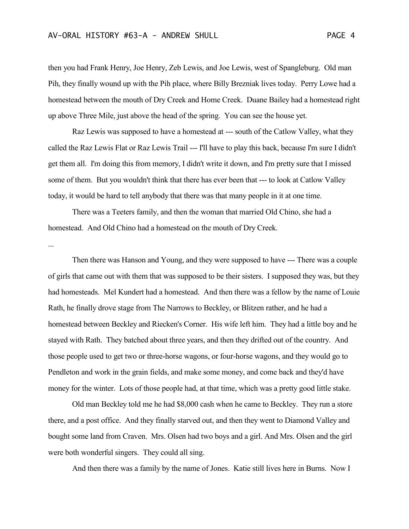then you had Frank Henry, Joe Henry, Zeb Lewis, and Joe Lewis, west of Spangleburg. Old man Pih, they finally wound up with the Pih place, where Billy Brezniak lives today. Perry Lowe had a homestead between the mouth of Dry Creek and Home Creek. Duane Bailey had a homestead right up above Three Mile, just above the head of the spring. You can see the house yet.

Raz Lewis was supposed to have a homestead at --- south of the Catlow Valley, what they called the Raz Lewis Flat or Raz Lewis Trail --- I'll have to play this back, because I'm sure I didn't get them all. I'm doing this from memory, I didn't write it down, and I'm pretty sure that I missed some of them. But you wouldn't think that there has ever been that --- to look at Catlow Valley today, it would be hard to tell anybody that there was that many people in it at one time.

There was a Teeters family, and then the woman that married Old Chino, she had a homestead. And Old Chino had a homestead on the mouth of Dry Creek.

...

Then there was Hanson and Young, and they were supposed to have --- There was a couple of girls that came out with them that was supposed to be their sisters. I supposed they was, but they had homesteads. Mel Kundert had a homestead. And then there was a fellow by the name of Louie Rath, he finally drove stage from The Narrows to Beckley, or Blitzen rather, and he had a homestead between Beckley and Riecken's Corner. His wife left him. They had a little boy and he stayed with Rath. They batched about three years, and then they drifted out of the country. And those people used to get two or three-horse wagons, or four-horse wagons, and they would go to Pendleton and work in the grain fields, and make some money, and come back and they'd have money for the winter. Lots of those people had, at that time, which was a pretty good little stake.

Old man Beckley told me he had \$8,000 cash when he came to Beckley. They run a store there, and a post office. And they finally starved out, and then they went to Diamond Valley and bought some land from Craven. Mrs. Olsen had two boys and a girl. And Mrs. Olsen and the girl were both wonderful singers. They could all sing.

And then there was a family by the name of Jones. Katie still lives here in Burns. Now I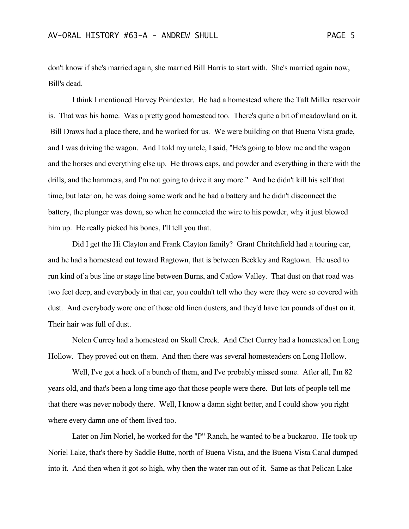don't know if she's married again, she married Bill Harris to start with. She's married again now, Bill's dead.

I think I mentioned Harvey Poindexter. He had a homestead where the Taft Miller reservoir is. That was his home. Was a pretty good homestead too. There's quite a bit of meadowland on it. Bill Draws had a place there, and he worked for us. We were building on that Buena Vista grade, and I was driving the wagon. And I told my uncle, I said, "He's going to blow me and the wagon and the horses and everything else up. He throws caps, and powder and everything in there with the drills, and the hammers, and I'm not going to drive it any more." And he didn't kill his self that time, but later on, he was doing some work and he had a battery and he didn't disconnect the battery, the plunger was down, so when he connected the wire to his powder, why it just blowed him up. He really picked his bones, I'll tell you that.

Did I get the Hi Clayton and Frank Clayton family? Grant Chritchfield had a touring car, and he had a homestead out toward Ragtown, that is between Beckley and Ragtown. He used to run kind of a bus line or stage line between Burns, and Catlow Valley. That dust on that road was two feet deep, and everybody in that car, you couldn't tell who they were they were so covered with dust. And everybody wore one of those old linen dusters, and they'd have ten pounds of dust on it. Their hair was full of dust.

Nolen Currey had a homestead on Skull Creek. And Chet Currey had a homestead on Long Hollow. They proved out on them. And then there was several homesteaders on Long Hollow.

Well, I've got a heck of a bunch of them, and I've probably missed some. After all, I'm 82 years old, and that's been a long time ago that those people were there. But lots of people tell me that there was never nobody there. Well, I know a damn sight better, and I could show you right where every damn one of them lived too.

Later on Jim Noriel, he worked for the "P" Ranch, he wanted to be a buckaroo. He took up Noriel Lake, that's there by Saddle Butte, north of Buena Vista, and the Buena Vista Canal dumped into it. And then when it got so high, why then the water ran out of it. Same as that Pelican Lake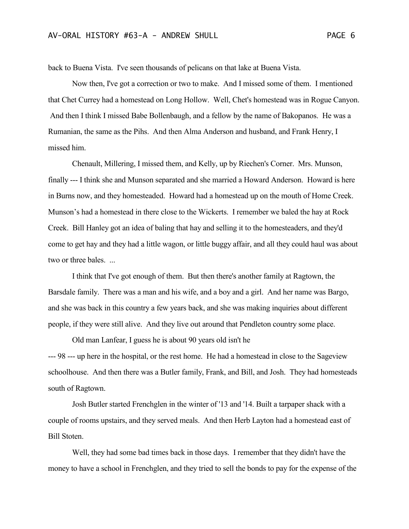back to Buena Vista. I've seen thousands of pelicans on that lake at Buena Vista.

Now then, I've got a correction or two to make. And I missed some of them. I mentioned that Chet Currey had a homestead on Long Hollow. Well, Chet's homestead was in Rogue Canyon. And then I think I missed Babe Bollenbaugh, and a fellow by the name of Bakopanos. He was a Rumanian, the same as the Pihs. And then Alma Anderson and husband, and Frank Henry, I missed him.

Chenault, Millering, I missed them, and Kelly, up by Riechen's Corner. Mrs. Munson, finally --- I think she and Munson separated and she married a Howard Anderson. Howard is here in Burns now, and they homesteaded. Howard had a homestead up on the mouth of Home Creek. Munson's had a homestead in there close to the Wickerts. I remember we baled the hay at Rock Creek. Bill Hanley got an idea of baling that hay and selling it to the homesteaders, and they'd come to get hay and they had a little wagon, or little buggy affair, and all they could haul was about two or three bales. ...

I think that I've got enough of them. But then there's another family at Ragtown, the Barsdale family. There was a man and his wife, and a boy and a girl. And her name was Bargo, and she was back in this country a few years back, and she was making inquiries about different people, if they were still alive. And they live out around that Pendleton country some place.

Old man Lanfear, I guess he is about 90 years old isn't he --- 98 --- up here in the hospital, or the rest home. He had a homestead in close to the Sageview schoolhouse. And then there was a Butler family, Frank, and Bill, and Josh. They had homesteads south of Ragtown.

Josh Butler started Frenchglen in the winter of '13 and '14. Built a tarpaper shack with a couple of rooms upstairs, and they served meals. And then Herb Layton had a homestead east of Bill Stoten.

Well, they had some bad times back in those days. I remember that they didn't have the money to have a school in Frenchglen, and they tried to sell the bonds to pay for the expense of the